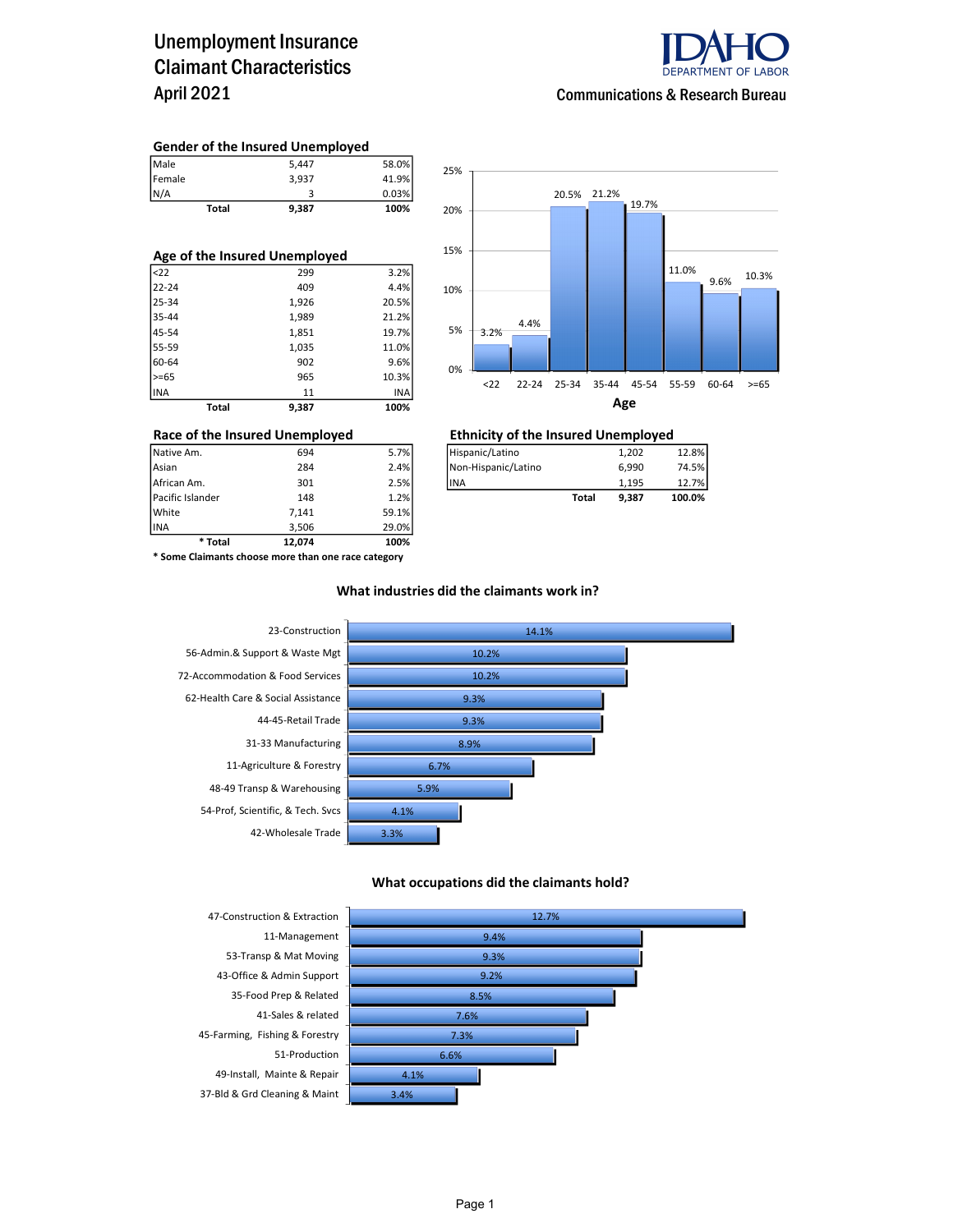### Unemployment Insurance Claimant Characteristics April 2021



Communications & Research Bureau

#### Gender of the Insured Unemployed

| Male   | 5.447 | 58.0% |
|--------|-------|-------|
| Female | 3.937 | 41.9% |
| N/A    |       | 0.03% |

Total 9,387 100%

| Age of the Insured Unemployed |       |       |  |  |  |  |  |
|-------------------------------|-------|-------|--|--|--|--|--|
| $ $ <22                       | 299   | 3.2%  |  |  |  |  |  |
| 22-24                         | 409   | 4.4%  |  |  |  |  |  |
| 25-34                         | 1,926 | 20.5% |  |  |  |  |  |
| 35-44                         | 1,989 | 21.2% |  |  |  |  |  |
| 45-54                         | 1,851 | 19.7% |  |  |  |  |  |
| 55-59                         | 1,035 | 11.0% |  |  |  |  |  |
| 60-64                         | 902   | 9.6%  |  |  |  |  |  |
| $>= 65$                       | 965   | 10.3% |  |  |  |  |  |
| INA                           | 11    | INA   |  |  |  |  |  |
| Total                         | 9.387 | 100%  |  |  |  |  |  |



### Race of the Insured Unemployed<br>
Native Am.  $\frac{694}{994}$  5.7%  $\frac{1,202}{994}$

| Native Am.       | 694 | 5.7% | Hispanic/Latino     |       | 1.202 | 12.8%  |
|------------------|-----|------|---------------------|-------|-------|--------|
| Asian            | 284 | 2.4% | Non-Hispanic/Latino |       | 6.990 | 74.5%  |
| African Am.      | 301 | 2.5% | lina                |       | 1.195 | 12.7%  |
| Pacific Islander | 148 | 1.2% |                     | Total | 9.387 | 100.0% |

INA 3,506 29.0% \* Total 12,074 100% \* Some Claimants choose more than one race category

Pacific Islander 148 1.2% White 7,141 59.1%<br>TNA 3.506 29.0%

#### What industries did the claimants work in?



#### What occupations did the claimants hold?



Page 1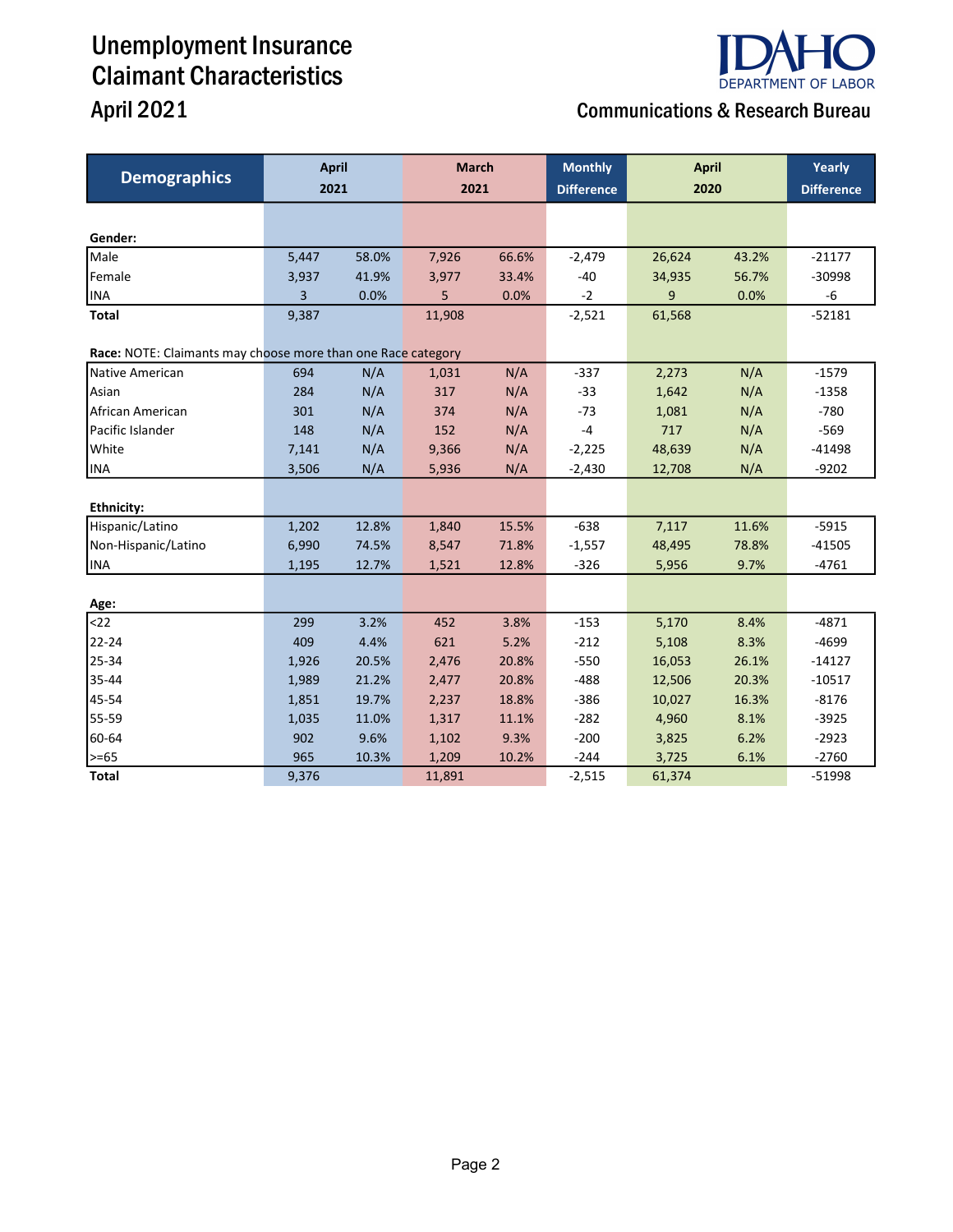# Unemployment Insurance Claimant Characteristics



### April 2021 **April 2021** Communications & Research Bureau

| <b>Demographics</b>                                          | <b>April</b><br>2021 |       | <b>March</b><br>2021 |       | <b>Monthly</b><br><b>Difference</b> | <b>April</b><br>2020 |       | Yearly<br><b>Difference</b> |
|--------------------------------------------------------------|----------------------|-------|----------------------|-------|-------------------------------------|----------------------|-------|-----------------------------|
|                                                              |                      |       |                      |       |                                     |                      |       |                             |
| Gender:                                                      |                      |       |                      |       |                                     |                      |       |                             |
| Male                                                         | 5,447                | 58.0% | 7,926                | 66.6% | $-2,479$                            | 26,624               | 43.2% | $-21177$                    |
| Female                                                       | 3,937                | 41.9% | 3,977                | 33.4% | $-40$                               | 34,935               | 56.7% | $-30998$                    |
| <b>INA</b>                                                   | 3                    | 0.0%  | 5                    | 0.0%  | $-2$                                | 9                    | 0.0%  | -6                          |
| <b>Total</b>                                                 | 9,387                |       | 11,908               |       | $-2,521$                            | 61,568               |       | $-52181$                    |
| Race: NOTE: Claimants may choose more than one Race category |                      |       |                      |       |                                     |                      |       |                             |
| Native American                                              | 694                  | N/A   | 1,031                | N/A   | $-337$                              | 2,273                | N/A   | $-1579$                     |
| Asian                                                        | 284                  | N/A   | 317                  | N/A   | $-33$                               | 1,642                | N/A   | $-1358$                     |
| African American                                             | 301                  | N/A   | 374                  | N/A   | $-73$                               | 1,081                | N/A   | $-780$                      |
| Pacific Islander                                             | 148                  | N/A   | 152                  | N/A   | $-4$                                | 717                  | N/A   | $-569$                      |
| White                                                        | 7,141                | N/A   | 9,366                | N/A   | $-2,225$                            | 48,639               | N/A   | $-41498$                    |
| <b>INA</b>                                                   | 3,506                | N/A   | 5,936                | N/A   | $-2,430$                            | 12,708               | N/A   | $-9202$                     |
|                                                              |                      |       |                      |       |                                     |                      |       |                             |
| <b>Ethnicity:</b>                                            |                      |       |                      |       |                                     |                      |       |                             |
| Hispanic/Latino                                              | 1,202                | 12.8% | 1,840                | 15.5% | $-638$                              | 7,117                | 11.6% | $-5915$                     |
| Non-Hispanic/Latino                                          | 6,990                | 74.5% | 8,547                | 71.8% | $-1,557$                            | 48,495               | 78.8% | $-41505$                    |
| INA                                                          | 1,195                | 12.7% | 1,521                | 12.8% | $-326$                              | 5,956                | 9.7%  | $-4761$                     |
|                                                              |                      |       |                      |       |                                     |                      |       |                             |
| Age:<br>$22$                                                 | 299                  | 3.2%  | 452                  | 3.8%  | $-153$                              | 5,170                | 8.4%  | $-4871$                     |
| 22-24                                                        | 409                  | 4.4%  | 621                  | 5.2%  | $-212$                              | 5,108                | 8.3%  | $-4699$                     |
| 25-34                                                        | 1,926                | 20.5% | 2,476                | 20.8% | $-550$                              | 16,053               | 26.1% | $-14127$                    |
| 35-44                                                        | 1,989                | 21.2% | 2,477                | 20.8% | $-488$                              | 12,506               | 20.3% | $-10517$                    |
| 45-54                                                        | 1,851                | 19.7% | 2,237                | 18.8% | $-386$                              | 10,027               | 16.3% | $-8176$                     |
| 55-59                                                        | 1,035                | 11.0% | 1,317                | 11.1% | $-282$                              | 4,960                | 8.1%  | $-3925$                     |
| 60-64                                                        | 902                  | 9.6%  | 1,102                | 9.3%  | $-200$                              | 3,825                | 6.2%  | $-2923$                     |
| $\geq -65$                                                   | 965                  | 10.3% | 1,209                | 10.2% | $-244$                              | 3,725                | 6.1%  | $-2760$                     |
| <b>Total</b>                                                 | 9,376                |       | 11,891               |       | $-2,515$                            | 61,374               |       | $-51998$                    |